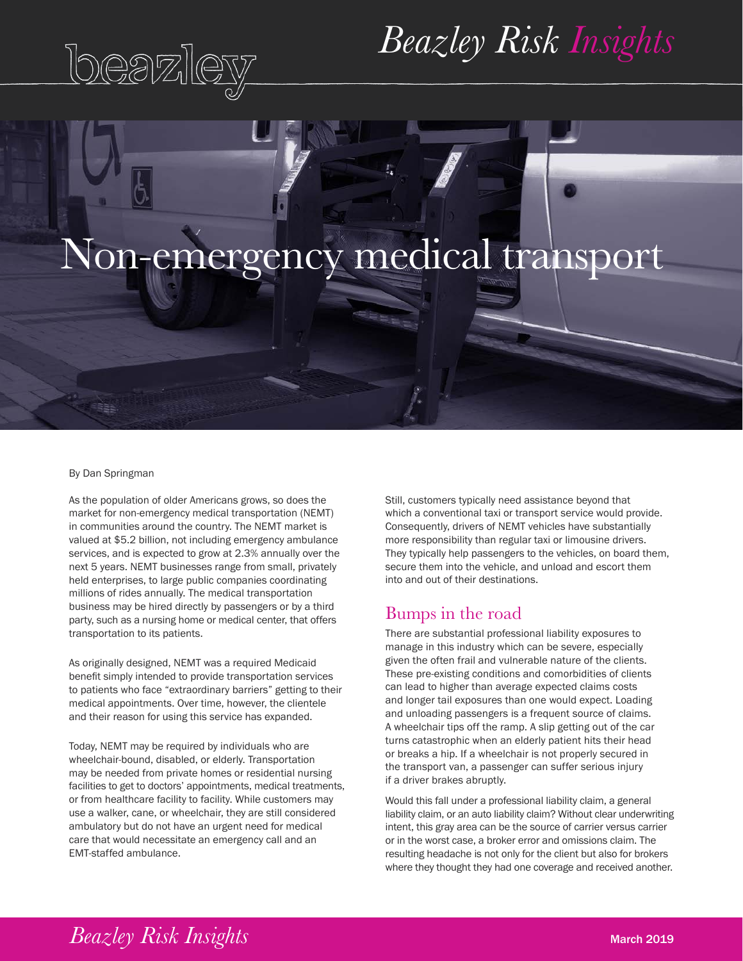

## *Beazley Risk Insights*

# Non-emergency medical transport

#### By Dan Springman

As the population of older Americans grows, so does the market for non-emergency medical transportation (NEMT) in communities around the country. The NEMT market is valued at \$5.2 billion, not including emergency ambulance services, and is expected to grow at 2.3% annually over the next 5 years. NEMT businesses range from small, privately held enterprises, to large public companies coordinating millions of rides annually. The medical transportation business may be hired directly by passengers or by a third party, such as a nursing home or medical center, that offers transportation to its patients.

As originally designed, NEMT was a required Medicaid benefit simply intended to provide transportation services to patients who face "extraordinary barriers" getting to their medical appointments. Over time, however, the clientele and their reason for using this service has expanded.

Today, NEMT may be required by individuals who are wheelchair-bound, disabled, or elderly. Transportation may be needed from private homes or residential nursing facilities to get to doctors' appointments, medical treatments, or from healthcare facility to facility. While customers may use a walker, cane, or wheelchair, they are still considered ambulatory but do not have an urgent need for medical care that would necessitate an emergency call and an EMT-staffed ambulance.

Still, customers typically need assistance beyond that which a conventional taxi or transport service would provide. Consequently, drivers of NEMT vehicles have substantially more responsibility than regular taxi or limousine drivers. They typically help passengers to the vehicles, on board them, secure them into the vehicle, and unload and escort them into and out of their destinations.

#### Bumps in the road

There are substantial professional liability exposures to manage in this industry which can be severe, especially given the often frail and vulnerable nature of the clients. These pre-existing conditions and comorbidities of clients can lead to higher than average expected claims costs and longer tail exposures than one would expect. Loading and unloading passengers is a frequent source of claims. A wheelchair tips off the ramp. A slip getting out of the car turns catastrophic when an elderly patient hits their head or breaks a hip. If a wheelchair is not properly secured in the transport van, a passenger can suffer serious injury if a driver brakes abruptly.

Would this fall under a professional liability claim, a general liability claim, or an auto liability claim? Without clear underwriting intent, this gray area can be the source of carrier versus carrier or in the worst case, a broker error and omissions claim. The resulting headache is not only for the client but also for brokers where they thought they had one coverage and received another.

### *Beazley Risk Insights* March 2019